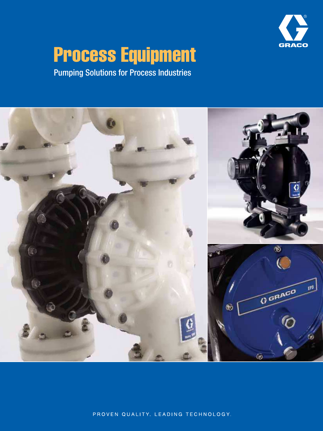

# Process Equipment

Pumping Solutions for Process Industries



PROVEN QUALITY. LEADING TECHNOLOGY.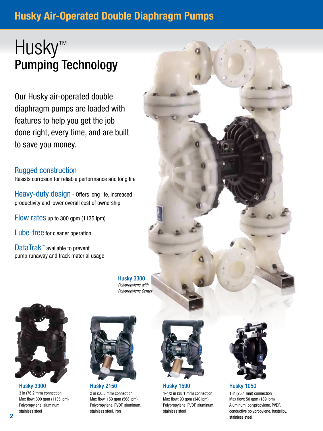### Husky Air-Operated Double Diaphragm Pumps

## Husky™ Pumping Technology

Our Husky air-operated double diaphragm pumps are loaded with features to help you get the job done right, every time, and are built to save you money.

### Rugged construction

Resists corrosion for reliable performance and long life

Heavy-duty design - Offers long life, increased productivity and lower overall cost of ownership

Flow rates up to 300 gpm (1135 lpm)

Lube-free for cleaner operation

DataTrak<sup>™</sup> available to prevent pump runaway and track material usage



3 in (76.2 mm) connection Max flow: 300 gpm (1135 lpm) Polypropylene, aluminum, stainless steel



Husky 2150 2 in (50.8 mm) connection Max flow: 150 gpm (568 lpm) Polypropylene, PVDF, aluminum, stainless steel, iron



Husky 1590 Husky 3300 Husky 1050 1-1/2 in (38.1 mm) connection Max flow: 90 gpm (340 lpm) Polypropylene, PVDF, aluminum, stainless steel



1 in (25.4 mm) connection Max flow: 50 gpm (189 lpm) Aluminum, polypropylene, PVDF, conductive polypropylene, hastelloy, stainless steel

Husky 3300 Polypropylene with Polypropylene Center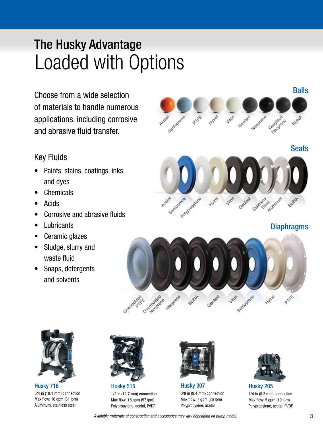## Loaded with Options The Husky Advantage

Choose from a wide selection of materials to handle numerous applications, including corrosive and abrasive fluid transfer.



- Paints, stains, coatings, inks and dyes
- **Chemicals**

Key Fluids

- **Acids**
- Corrosive and abrasive fluids
- **Lubricants**
- Ceramic glazes
- Sludge, slurry and waste fluid
- Soaps, detergents and solvents



**Diaphragms** 





Husky 716 3/4 in (19.1 mm) connection Max flow: 16 gpm (61 lpm) Aluminum, stainless steel



Husky 515 1/2 in (12.7 mm) connection Max flow: 15 gpm (57 lpm) Polypropylene, acetal, PVDF



Husky 307 3/8 in (9.4 mm) connection Max flow: 7 gpm (26 lpm) Polypropylene, acetal



Husky 205 1/4 in (6.3 mm) connection Max flow: 5 gpm (19 lpm) Polypropylene, acetal, PVDF

Available materials of construction and accessories may vary depending on pump model.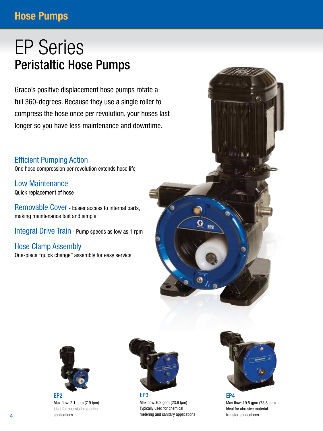### **Hose Pumps**

### EP Series Peristaltic Hose Pumps

Graco's positive displacement hose pumps rotate a full 360-degrees. Because they use a single roller to compress the hose once per revolution, your hoses last longer so you have less maintenance and downtime.

### Efficient Pumping Action

One hose compression per revolution extends hose life

Low Maintenance Quick replacement of hose

Removable Cover - Easier access to internal parts, making maintenance fast and simple

Integral Drive Train - Pump speeds as low as 1 rpm

Hose Clamp Assembly One-piece "quick change" assembly for easy service



Max flow: 6.2 gpm (23.6 lpm) Typically used for chemical metering and sanitary applications G EP<sub>2</sub>



Max flow: 19.5 gpm (73.8 lpm) Ideal for abrasive material transfer applications



Max flow: 2.1 gpm (7.9 lpm) Ideal for chemical metering applications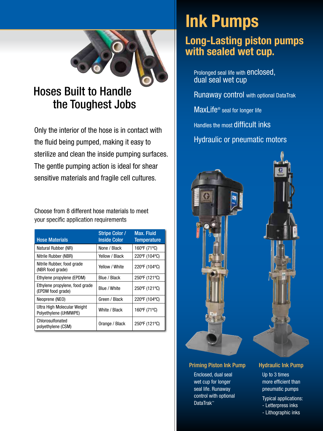

### Hoses Built to Handle the Toughest Jobs

Only the interior of the hose is in contact with the fluid being pumped, making it easy to sterilize and clean the inside pumping surfaces. The gentle pumping action is ideal for shear sensitive materials and fragile cell cultures.

Choose from 8 different hose materials to meet your specific application requirements

| <b>Hose Materials</b>                                | <b>Stripe Color /</b><br><b>Inside Color</b> | <b>Max. Fluid</b><br><b>Temperature</b> |
|------------------------------------------------------|----------------------------------------------|-----------------------------------------|
| Natural Rubber (NR)                                  | None / Black                                 | 160°F (71°C)                            |
| Nitrile Rubber (NBR)                                 | Yellow / Black                               | 220°F (104°C)                           |
| Nitrile Rubber, food grade<br>(NBR food grade)       | Yellow / White                               | 220°F (104°C)                           |
| Ethylene propylene (EPDM)                            | Blue / Black                                 | 250°F (121°C)                           |
| Ethylene propylene, food grade<br>(EPDM food grade)  | Blue / White                                 | 250°F (121°C)                           |
| Neoprene (NEO)                                       | Green / Black                                | 220°F (104°C)                           |
| Ultra High Molecular Weight<br>Polyethylene (UHMWPE) | White / Black                                | 160°F (71°C)                            |
| Chlorosulfonated<br>polyethylene (CSM)               | Orange / Black                               | 250°F (121°C)                           |

## Ink Pumps

### Long-Lasting piston pumps with sealed wet cup.

Prolonged seal life with enclosed, dual seal wet cup

Runaway control with optional DataTrak

MaxLife® seal for longer life

Handles the most difficult inks

Hydraulic or pneumatic motors



### Priming Piston Ink Pump

Enclosed, dual seal wet cup for longer seal life. Runaway control with optional DataTrak™

### Hydraulic Ink Pump

Up to 3 times more efficient than pneumatic pumps

Typical applications:

- Letterpress inks
- Lithographic inks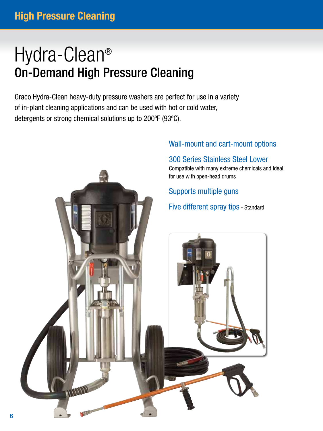## Hydra-Clean® On-Demand High Pressure Cleaning

Graco Hydra-Clean heavy-duty pressure washers are perfect for use in a variety of in-plant cleaning applications and can be used with hot or cold water, detergents or strong chemical solutions up to 200ºF (93ºC).

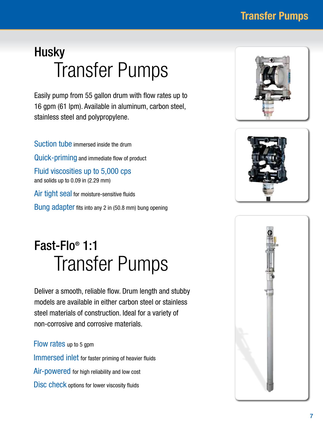**Transfer Pumps** 

## **Husky** Transfer Pumps

Easily pump from 55 gallon drum with flow rates up to 16 gpm (61 lpm). Available in aluminum, carbon steel, stainless steel and polypropylene.

Suction tube immersed inside the drum Quick-priming and immediate flow of product Fluid viscosities up to 5,000 cps and solids up to 0.09 in (2.29 mm) Air tight seal for moisture-sensitive fluids Bung adapter fits into any 2 in (50.8 mm) bung opening

## Fast-Flo® 1:1 Transfer Pumps

Deliver a smooth, reliable flow. Drum length and stubby models are available in either carbon steel or stainless steel materials of construction. Ideal for a variety of non-corrosive and corrosive materials.

Flow rates up to 5 gpm Immersed inlet for faster priming of heavier fluids Air-powered for high reliability and low cost Disc check options for lower viscosity fluids